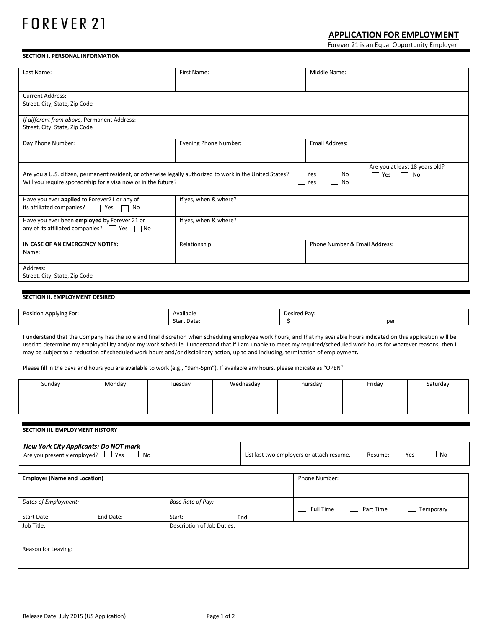### **APPLICATION FOR EMPLOYMENT**

Forever 21 is an Equal Opportunity Employer

### **SECTION I. PERSONAL INFORMATION**

| Last Name:                                                                                                | First Name:           | Middle Name:                                     |  |  |
|-----------------------------------------------------------------------------------------------------------|-----------------------|--------------------------------------------------|--|--|
|                                                                                                           |                       |                                                  |  |  |
| <b>Current Address:</b>                                                                                   |                       |                                                  |  |  |
| Street, City, State, Zip Code                                                                             |                       |                                                  |  |  |
| If different from above, Permanent Address:                                                               |                       |                                                  |  |  |
| Street, City, State, Zip Code                                                                             |                       |                                                  |  |  |
|                                                                                                           |                       |                                                  |  |  |
| Day Phone Number:                                                                                         | Evening Phone Number: | <b>Email Address:</b>                            |  |  |
|                                                                                                           |                       |                                                  |  |  |
|                                                                                                           |                       | Are you at least 18 years old?                   |  |  |
| Are you a U.S. citizen, permanent resident, or otherwise legally authorized to work in the United States? |                       | $\sqcup$ Yes<br>No<br>No<br>Yes<br>$\mathcal{L}$ |  |  |
| Will you require sponsorship for a visa now or in the future?                                             |                       | $\exists$ Yes<br><b>No</b>                       |  |  |
|                                                                                                           |                       |                                                  |  |  |
| Have you ever applied to Forever21 or any of                                                              | If yes, when & where? |                                                  |  |  |
| its affiliated companies?<br>Yes<br>No                                                                    |                       |                                                  |  |  |
| Have you ever been employed by Forever 21 or                                                              | If yes, when & where? |                                                  |  |  |
| any of its affiliated companies?<br>Yes<br>l No                                                           |                       |                                                  |  |  |
|                                                                                                           |                       |                                                  |  |  |
| IN CASE OF AN EMERGENCY NOTIFY:                                                                           | Relationship:         | Phone Number & Email Address:                    |  |  |
| Name:                                                                                                     |                       |                                                  |  |  |
|                                                                                                           |                       |                                                  |  |  |
| Address:                                                                                                  |                       |                                                  |  |  |
| Street, City, State, Zip Code                                                                             |                       |                                                  |  |  |
|                                                                                                           |                       |                                                  |  |  |

### **SECTION II. EMPLOYMENT DESIRED**

| Position.<br>! For<br>. OIVIN <sup>o</sup><br>$\sim$<br>the contract of the contract of the contract of the contract of the contract of | Available<br>.      | Pav<br>∴asired ⊦<br>.cu |     |
|-----------------------------------------------------------------------------------------------------------------------------------------|---------------------|-------------------------|-----|
|                                                                                                                                         | : Date<br>star<br>. |                         | per |

I understand that the Company has the sole and final discretion when scheduling employee work hours, and that my available hours indicated on this application will be used to determine my employability and/or my work schedule. I understand that if I am unable to meet my required/scheduled work hours for whatever reasons, then I may be subject to a reduction of scheduled work hours and/or disciplinary action, up to and including, termination of employment**.**

Please fill in the days and hours you are available to work (e.g., "9am-5pm"). If available any hours, please indicate as "OPEN"

| Sunday | Monday | Tuesday | Wednesday | Thursday | Friday | Saturday |
|--------|--------|---------|-----------|----------|--------|----------|
|        |        |         |           |          |        |          |
|        |        |         |           |          |        |          |

### **SECTION III. EMPLOYMENT HISTORY**

| <b>New York City Applicants: Do NOT mark</b><br>Are you presently employed? $\Box$ Yes<br><b>No</b><br>$\Box$ |           | List last two employers or attach resume.<br>$\Box$ Yes<br><b>No</b><br>Resume: |      |                           |           |           |
|---------------------------------------------------------------------------------------------------------------|-----------|---------------------------------------------------------------------------------|------|---------------------------|-----------|-----------|
| <b>Employer (Name and Location)</b>                                                                           |           |                                                                                 |      | Phone Number:             |           |           |
|                                                                                                               |           |                                                                                 |      |                           |           |           |
| Dates of Employment:                                                                                          |           | <b>Base Rate of Pay:</b>                                                        |      | Full Time<br>$\mathbf{I}$ | Part Time | Temporary |
| Start Date:                                                                                                   | End Date: | Start:                                                                          | End: |                           |           |           |
| Job Title:                                                                                                    |           | Description of Job Duties:                                                      |      |                           |           |           |
| Reason for Leaving:                                                                                           |           |                                                                                 |      |                           |           |           |